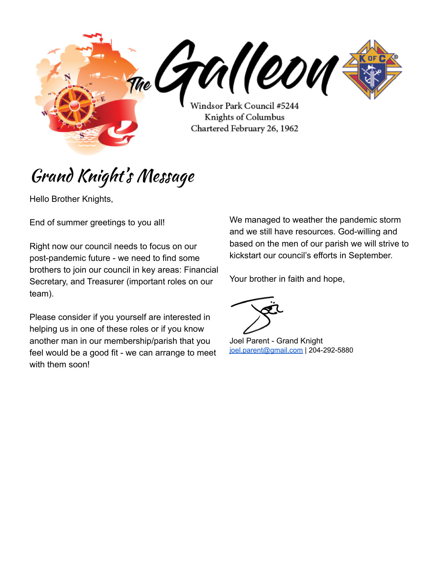<sub>The</sub> CTU (COU Windsor Park Council #5244 Knights of Columbus Chartered February 26, 1962

# Grand Knight' s Message

Hello Brother Knights,

End of summer greetings to you all!

Right now our council needs to focus on our post-pandemic future - we need to find some brothers to join our council in key areas: Financial Secretary, and Treasurer (important roles on our team).

Please consider if you yourself are interested in helping us in one of these roles or if you know another man in our membership/parish that you feel would be a good fit - we can arrange to meet with them soon!

We managed to weather the pandemic storm and we still have resources. God-willing and based on the men of our parish we will strive to kickstart our council's efforts in September.

Your brother in faith and hope,

Joel Parent - Grand Knight [joel.parent@gmail.com](mailto:joel.parent@gmail.com) | 204-292-5880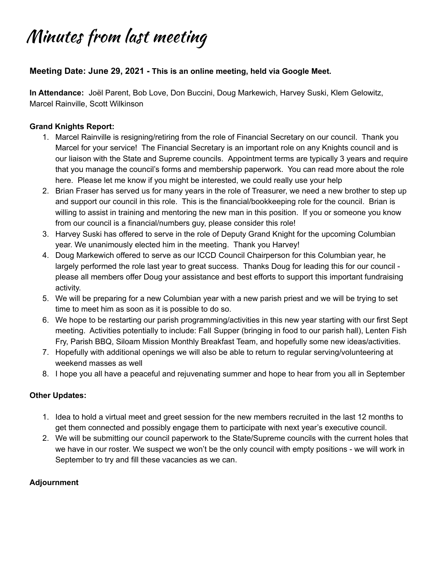# Minutes from last meeting

### **Meeting Date: June 29, 2021 - This is an online meeting, held via Google Meet.**

**In Attendance:** Joël Parent, Bob Love, Don Buccini, Doug Markewich, Harvey Suski, Klem Gelowitz, Marcel Rainville, Scott Wilkinson

### **Grand Knights Report:**

- 1. Marcel Rainville is resigning/retiring from the role of Financial Secretary on our council. Thank you Marcel for your service! The Financial Secretary is an important role on any Knights council and is our liaison with the State and Supreme councils. Appointment terms are typically 3 years and require that you manage the council's forms and membership paperwork. You can read more about the role here. Please let me know if you might be interested, we could really use your help
- 2. Brian Fraser has served us for many years in the role of Treasurer, we need a new brother to step up and support our council in this role. This is the financial/bookkeeping role for the council. Brian is willing to assist in training and mentoring the new man in this position. If you or someone you know from our council is a financial/numbers guy, please consider this role!
- 3. Harvey Suski has offered to serve in the role of Deputy Grand Knight for the upcoming Columbian year. We unanimously elected him in the meeting. Thank you Harvey!
- 4. Doug Markewich offered to serve as our ICCD Council Chairperson for this Columbian year, he largely performed the role last year to great success. Thanks Doug for leading this for our council please all members offer Doug your assistance and best efforts to support this important fundraising activity.
- 5. We will be preparing for a new Columbian year with a new parish priest and we will be trying to set time to meet him as soon as it is possible to do so.
- 6. We hope to be restarting our parish programming/activities in this new year starting with our first Sept meeting. Activities potentially to include: Fall Supper (bringing in food to our parish hall), Lenten Fish Fry, Parish BBQ, Siloam Mission Monthly Breakfast Team, and hopefully some new ideas/activities.
- 7. Hopefully with additional openings we will also be able to return to regular serving/volunteering at weekend masses as well
- 8. I hope you all have a peaceful and rejuvenating summer and hope to hear from you all in September

#### **Other Updates:**

- 1. Idea to hold a virtual meet and greet session for the new members recruited in the last 12 months to get them connected and possibly engage them to participate with next year's executive council.
- 2. We will be submitting our council paperwork to the State/Supreme councils with the current holes that we have in our roster. We suspect we won't be the only council with empty positions - we will work in September to try and fill these vacancies as we can.

#### **Adjournment**